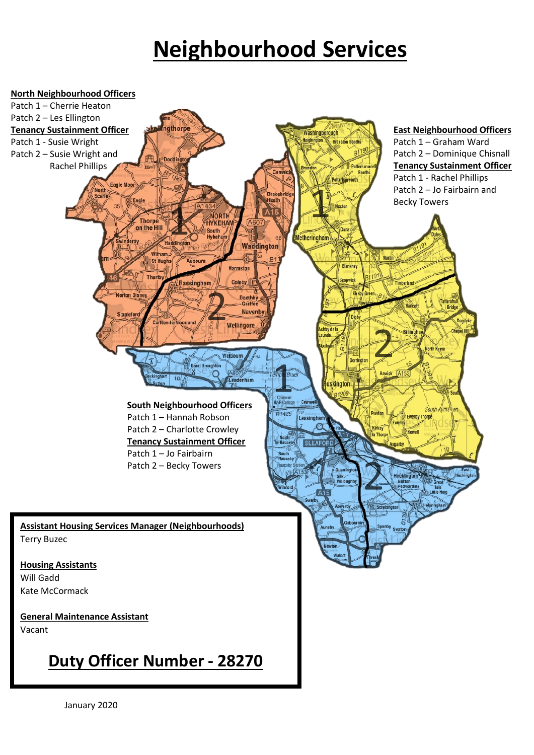## **Neighbourhood Services**